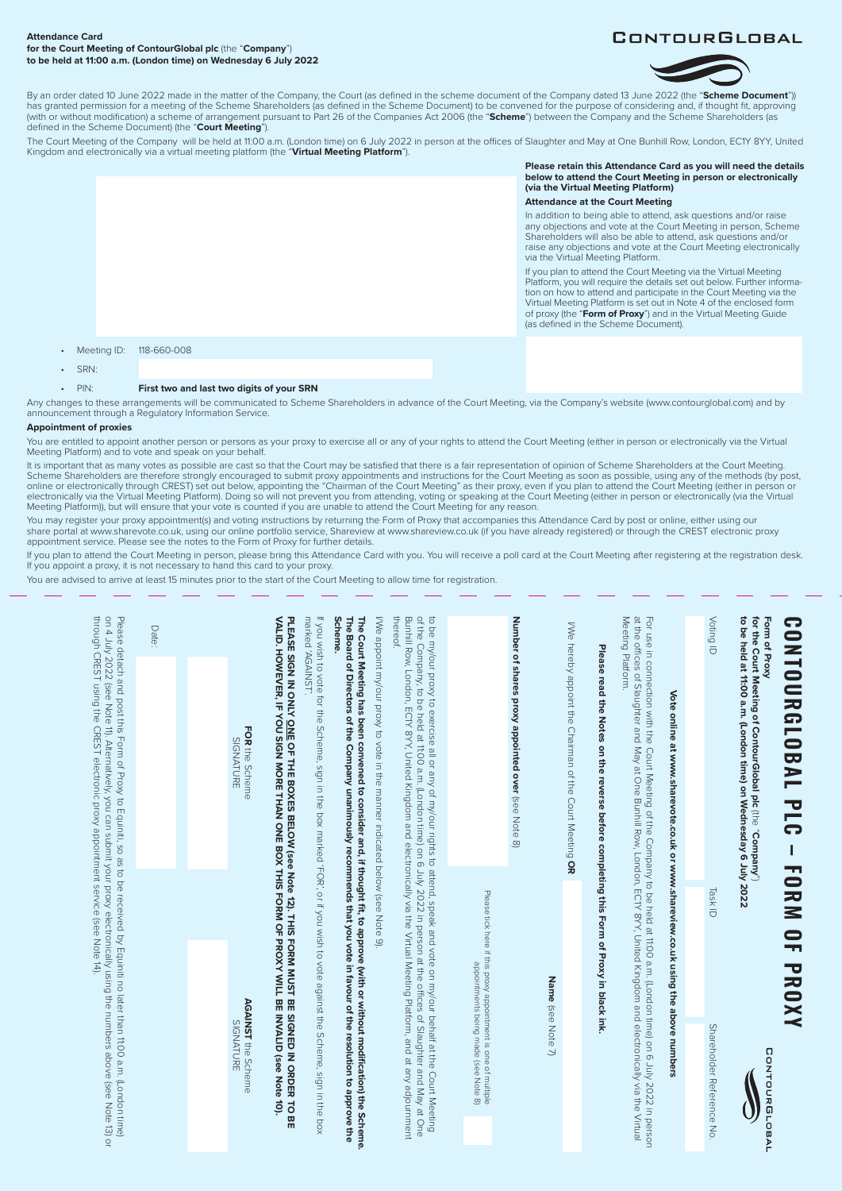### **Attendance Card for the Court Meeting of ContourGlobal plc** (the "**Company**") **to be held at 11:00 a.m. (London time) on Wednesday 6 July 2022**



By an order dated 10 June 2022 made in the matter of the Company, the Court (as defined in the scheme document of the Company dated 13 June 2022 (the "**Scheme Document**")) has granted permission for a meeting of the Scheme Shareholders (as defined in the Scheme Document) to be convened for the purpose of considering and, if thought fit, approving<br>(with or without modification) a scheme of ar defined in the Scheme Document) (the "**Court Meeting**").

The Court Meeting of the Company will be held at 11:00 a.m. (London time) on 6 July 2022 in person at the offices of Slaughter and May at One Bunhill Row, London, EC1Y 8YY, United<br>Kingdom and electronically via a virtual m

**Please retain this Attendance Card as you will need the details below to attend the Court Meeting in person or electronically (via the Virtual Meeting Platform) Attendance at the Court Meeting**

In addition to being able to attend, ask questions and/or raise any objections and vote at the Court Meeting in person, Scheme Shareholders will also be able to attend, ask questions and/or raise any objections and vote at the Court Meeting electronically via the Virtual Meeting Platform.

If you plan to attend the Court Meeting via the Virtual Meeting Platform, you will require the details set out below. Further information on how to attend and participate in the Court Meeting via the Virtual Meeting Platform is set out in Note 4 of the enclosed form of proxy (the "**Form of Proxy**") and in the Virtual Meeting Guide (as defined in the Scheme Document) .

## • Meeting ID: 118-660-008

• SRN:

## • PIN: **First two and last two digits of your SRN**

Any changes to these arrangements will be communicated to Scheme Shareholders in advance of the Court Meeting, via the Company's website (www.contourglobal.com) and by announcement through a Regulatory Information Service.

# **Appointment of proxies**

You are entitled to appoint another person or persons as your proxy to exercise all or any of your rights to attend the Court Meeting (either in person or electronically via the Virtual Meeting Platform) and to vote and speak on your behalf.

It is important that as many votes as possible are cast so that the Court may be satisfied that there is a fair representation of opinion of Scheme Shareholders at the Court Meeting. Scheme Shareholders are therefore strongly encouraged to submit proxy appointments and instructions for the Court Meeting as soon as possible, using any of the methods (by post, online or electronically through CREST) set out below, appointing the "Chairman of the Court Meeting" as their proxy, even if you plan to attend the Court Meeting (either in person or<br>electronically via the Virtual Meeting Meeting Platform)), but will ensure that your vote is counted if you are unable to attend the Court Meeting for any reason.

You may register your proxy appointment(s) and voting instructions by returning the Form of Proxy that accompanies this Attendance Card by post or online, either using our share portal at www.sharevote.co.uk, using our online portfolio service, Shareview at www.shareview.co.uk (if you have already registered) or through the CREST electronic proxy appointment service. Please see the notes to the Form of Proxy for further details.

If you plan to attend the Court Meeting in person, please bring this Attendance Card with you. You will receive a poll card at the Court Meeting after registrering at the registration desk. If you appoint a proxy, it is not necessary to hand this card to your proxy.

You are advised to arrive at least 15 minutes prior to the start of the Court Meeting to allow time for registration.

| <b>CONIDERIC BAL PLC</b><br>L                                                                                                                                                                                                                                                                                                                                                       | <b>FORM</b><br><b>OF PROXY</b>                                                                                                         |                                 |
|-------------------------------------------------------------------------------------------------------------------------------------------------------------------------------------------------------------------------------------------------------------------------------------------------------------------------------------------------------------------------------------|----------------------------------------------------------------------------------------------------------------------------------------|---------------------------------|
| for the Court Meeting of ContourGlobal plc (the "Company")<br>to be held at 11:00 a.m. (London time) on Wednesday 6 July 2022<br>Form of Proxy                                                                                                                                                                                                                                      |                                                                                                                                        | CONTOURGLOBAL                   |
| Voting ID                                                                                                                                                                                                                                                                                                                                                                           | Task ID                                                                                                                                | Shareholder Reference No        |
|                                                                                                                                                                                                                                                                                                                                                                                     |                                                                                                                                        |                                 |
| Vote online at www.sharevote.co.uk or www.shareview.co.uk using the above numbers                                                                                                                                                                                                                                                                                                   |                                                                                                                                        |                                 |
| Meeting Platform.<br>For use in connection with the Court Meeting of the Company to be held at 11:00 a.m. (London time) on 6 July 2022 in person<br>at the offices of Slaughter and May at One Bunhill Row, London, EC1Y 8YY, United Kingdom and elect                                                                                                                              |                                                                                                                                        |                                 |
| Please read the Notes on the reverse before completing this Form of Proxy in black ink.                                                                                                                                                                                                                                                                                             |                                                                                                                                        |                                 |
| I/We hereby appoint the Chairman of the Court Meeting OR                                                                                                                                                                                                                                                                                                                            |                                                                                                                                        |                                 |
|                                                                                                                                                                                                                                                                                                                                                                                     | Name (see Note 7)                                                                                                                      |                                 |
| Number of shares proxy appointed over (see Note 8)                                                                                                                                                                                                                                                                                                                                  |                                                                                                                                        |                                 |
|                                                                                                                                                                                                                                                                                                                                                                                     | Please tick here if this proxy appointment is one of multiple<br>Please tick here if this proxy appointment is being made (see Note 8) |                                 |
| thereof<br>Bunhill Row, London, ECIY 8YY, United Kingdom and electronically via the Virtual Meeting Platform, and at any adjournment<br>of the parameter of the sequence of the original order of the second the sequence of Slaughter and May at One<br>to be my/our proxy to exercise all or any of my/our rights to attend, speak and vote on my/our behalf at the Court Meeting |                                                                                                                                        |                                 |
| I/We appoint my/our proxy to vote in the manner indicated below (see Note 9).                                                                                                                                                                                                                                                                                                       |                                                                                                                                        |                                 |
| <b>Scheme.</b><br>The Board of Directors of the Company unanimously recommends that you vote in favour of the resolution to approve the<br>The Court Meeting has been convened to consider and, if thought fit, to approve (with or without modification) the Scheme                                                                                                                |                                                                                                                                        |                                 |
| marked 'AGAINST'.<br>If you wish to vote for the Scheme, sign in the box marked 'FOR', or if you wish to vote against the Scheme, sign in the box                                                                                                                                                                                                                                   |                                                                                                                                        |                                 |
| PLEASE SIGN IN ONLY <u>ONE OF THE BOXES BELOW (see Note 12)</u> . THIS FORM MUST BE SIGNED IN ORDER TO BE<br>VALID. HOWEVER, IF YOU SIGN MORE THAN ONE BOX THIS FORM OF PROXY WILL BE INVALID (see Note 10).                                                                                                                                                                        |                                                                                                                                        | <b>INVALID</b> (see Note        |
| FOR the Scheme<br>SIGNATURE                                                                                                                                                                                                                                                                                                                                                         |                                                                                                                                        | AGAINST the Scheme<br>SIGNATURE |
|                                                                                                                                                                                                                                                                                                                                                                                     |                                                                                                                                        |                                 |
| Date:                                                                                                                                                                                                                                                                                                                                                                               |                                                                                                                                        |                                 |
| through CREST using the CREST electronic proxy appointment service (see Note 14).<br>on 4 July 2022 (see Note 11). Alternatively, you can submit your proxy electronically using the numbers above (see Note 13) or<br>Please detach and post this Form of Proxy to Equiniti, so as to be received by Equiniti no later than 11:00 a.m. (London time)                               |                                                                                                                                        |                                 |
|                                                                                                                                                                                                                                                                                                                                                                                     |                                                                                                                                        |                                 |